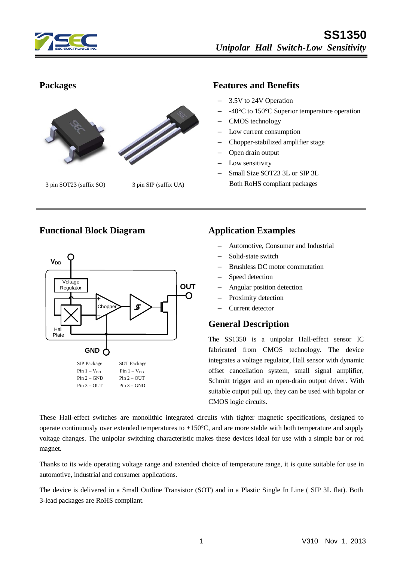



3 pin SOT23 (suffix SO) 3 pin SIP (suffix UA)

### **Packages Features and Benefits**

- 3.5V to 24V Operation
- -40°C to 150°C Superior temperature operation
- CMOS technology
- Low current consumption
- Chopper-stabilized amplifier stage
- Open drain output
- Low sensitivity
- Small Size SOT23 3L or SIP 3L Both RoHS compliant packages

### **Functional Block Diagram Application Examples**



- Automotive, Consumer and Industrial
- Solid-state switch
- Brushless DC motor commutation
- Speed detection
- Angular position detection
- Proximity detection
- Current detector

### **General Description**

The SS1350 is a unipolar Hall-effect sensor IC fabricated from CMOS technology. The device integrates a voltage regulator, Hall sensor with dynamic offset cancellation system, small signal amplifier, Schmitt trigger and an open-drain output driver. With suitable output pull up, they can be used with bipolar or CMOS logic circuits.

These Hall-effect switches are monolithic integrated circuits with tighter magnetic specifications, designed to operate continuously over extended temperatures to  $+150^{\circ}$ C, and are more stable with both temperature and supply voltage changes. The unipolar switching characteristic makes these devices ideal for use with a simple bar or rod magnet.

Thanks to its wide operating voltage range and extended choice of temperature range, it is quite suitable for use in automotive, industrial and consumer applications.

The device is delivered in a Small Outline Transistor (SOT) and in a Plastic Single In Line ( SIP 3L flat). Both 3-lead packages are RoHS compliant.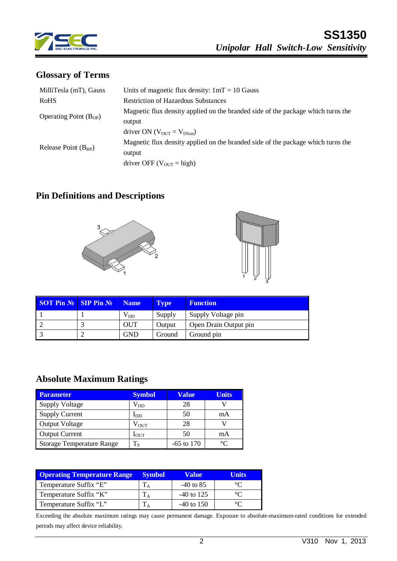

# **Glossary of Terms**

| MilliTesla (mT), Gauss     | Units of magnetic flux density: $1mT = 10$ Gauss                                 |  |  |
|----------------------------|----------------------------------------------------------------------------------|--|--|
| <b>RoHS</b>                | <b>Restriction of Hazardous Substances</b>                                       |  |  |
| Operating Point $(B_{OP})$ | Magnetic flux density applied on the branded side of the package which turns the |  |  |
|                            | output                                                                           |  |  |
|                            | driver ON ( $V_{\text{OUT}} = V_{\text{DSon}}$ )                                 |  |  |
| Release Point $(B_{RP})$   | Magnetic flux density applied on the branded side of the package which turns the |  |  |
|                            | output                                                                           |  |  |
|                            | driver OFF ( $V_{\text{OUT}}$ = high)                                            |  |  |

## **Pin Definitions and Descriptions**





| <b>SOT Pin <math>\mathbb{N}</math> SIP Pin <math>\mathbb{N}</math></b> | Name       | <b>Type</b> | <b>Function</b>       |
|------------------------------------------------------------------------|------------|-------------|-----------------------|
|                                                                        | $V_{DD}$   | Supply      | Supply Voltage pin    |
|                                                                        | <b>OUT</b> | Output      | Open Drain Output pin |
|                                                                        | <b>GND</b> | Ground      | Ground pin            |

## **Absolute Maximum Ratings**

| <b>Parameter</b>                 | <b>Symbol</b>    | Value        | <b>Units</b> |
|----------------------------------|------------------|--------------|--------------|
| <b>Supply Voltage</b>            | $\rm V_{DD}$     | 28           |              |
| <b>Supply Current</b>            | $_{\text{DD}}$   | 50           | mA           |
| Output Voltage                   | $\rm V_{OUT}$    | 28           |              |
| <b>Output Current</b>            | $1_{\rm OUT}$    | 50           | mA           |
| <b>Storage Temperature Range</b> | $\Gamma_{\rm S}$ | $-65$ to 170 | $\circ$      |

| <b>Operating Temperature Range</b> | <b>Symbol</b> | <b>Value</b> | Units |
|------------------------------------|---------------|--------------|-------|
| Temperature Suffix "E"             |               | $-40$ to 85  |       |
| Temperature Suffix "K"             |               | $-40$ to 125 |       |
| Temperature Suffix "L"             |               | $-40$ to 150 |       |

Exceeding the absolute maximum ratings may cause permanent damage. Exposure to absolute-maximum-rated conditions for extended periods may affect device reliability.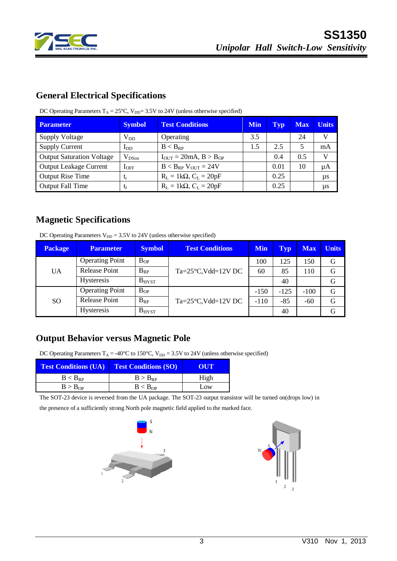

# **General Electrical Specifications**

| <b>Parameter</b>                 | <b>Symbol</b> | <b>Test Conditions</b>              | <b>Min</b> | Typ  | <b>Max</b> | <b>Units</b> |
|----------------------------------|---------------|-------------------------------------|------------|------|------------|--------------|
| <b>Supply Voltage</b>            | $V_{DD}$      | Operating                           | 3.5        |      | 24         | V            |
| <b>Supply Current</b>            | $I_{DD}$      | $B < B_{RP}$                        | 1.5        | 2.5  | 5          | mA           |
| <b>Output Saturation Voltage</b> | $V_{DSon}$    | $I_{OUT} = 20mA, B > B_{OP}$        |            | 0.4  | 0.5        | V            |
| <b>Output Leakage Current</b>    | $I_{\rm OFF}$ | $B < B_{RP}$ V <sub>OUT</sub> = 24V |            | 0.01 | 10         | μA           |
| <b>Output Rise Time</b>          | $L_{\Gamma}$  | $R_L = 1k\Omega$ , $C_L = 20pF$     |            | 0.25 |            | $\mu s$      |
| <b>Output Fall Time</b>          | tf            | $R_L = 1k\Omega$ , $C_L = 20pF$     |            | 0.25 |            | $\mu s$      |

DC Operating Parameters  $T_A = 25^{\circ}C$ ,  $V_{DD} = 3.5V$  to 24V (unless otherwise specified)

## **Magnetic Specifications**

DC Operating Parameters  $V_{DD} = 3.5V$  to 24V (unless otherwise specified)

| <b>Package</b> | <b>Parameter</b>       | <b>Symbol</b> | <b>Test Conditions</b>             | <b>Min</b> | <b>Typ</b> | <b>Max</b> | <b>Units</b> |
|----------------|------------------------|---------------|------------------------------------|------------|------------|------------|--------------|
|                | <b>Operating Point</b> | $B_{OP}$      |                                    | 100        | 125        | 150        | G            |
| <b>UA</b>      | Release Point          | $B_{RP}$      | $Ta = 25^{\circ}C$ , Vdd= $12V$ DC | 60         | 85         | 110        | G            |
|                | <b>Hysteresis</b>      | $B_{H YST}$   |                                    |            | 40         |            | G            |
|                | <b>Operating Point</b> | $B_{OP}$      |                                    | $-150$     | $-125$     | $-100$     | G            |
| <sub>SO</sub>  | <b>Release Point</b>   | $B_{RP}$      | $Ta = 25^{\circ}C$ , Vdd= $12V$ DC | $-110$     | $-85$      | $-60$      | G            |
|                | <b>Hysteresis</b>      | $B_{H YST}$   |                                    |            | 40         |            | G            |

## **Output Behavior versus Magnetic Pole**

DC Operating Parameters  $T_A = -40^{\circ}C$  to 150°C,  $V_{DD} = 3.5V$  to 24V (unless otherwise specified)

| <b>Test Conditions (UA)</b> | <b>Test Conditions (SO)</b> | OUT  |  |  |
|-----------------------------|-----------------------------|------|--|--|
| $B < B_{RP}$                | $B > B_{RP}$                | High |  |  |
| B > B <sub>OP</sub>         | B < B <sub>OP</sub>         | Low  |  |  |

The SOT-23 device is reversed from the UA package. The SOT-23 output transistor will be turned on(drops low) in

the presence of a sufficiently strong North pole magnetic field applied to the marked face.



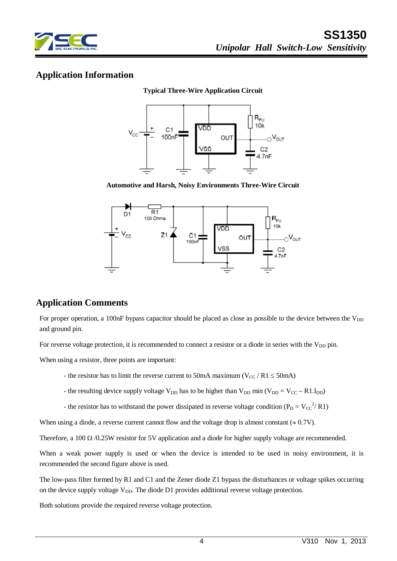

## **Application Information**

#### **Typical Three-Wire Application Circuit**



**Automotive and Harsh, Noisy Environments Three-Wire Circuit**



## **Application Comments**

For proper operation, a 100nF bypass capacitor should be placed as close as possible to the device between the  $V_{DD}$ and ground pin.

For reverse voltage protection, it is recommended to connect a resistor or a diode in series with the V<sub>DD</sub> pin.

When using a resistor, three points are important:

- the resistor has to limit the reverse current to 50mA maximum ( $V_{CC}$  / R1  $\leq$  50mA)
- the resulting device supply voltage  $V_{DD}$  has to be higher than  $V_{DD}$  min ( $V_{DD} = V_{CC} R1.I_{DD}$ )
- the resistor has to withstand the power dissipated in reverse voltage condition ( $P_D = V_{CC}^{2/2} R1$ )

When using a diode, a reverse current cannot flow and the voltage drop is almost constant ( $\approx 0.7V$ ).

Therefore, a 100  $\Omega$  /0.25W resistor for 5V application and a diode for higher supply voltage are recommended.

When a weak power supply is used or when the device is intended to be used in noisy environment, it is recommended the second figure above is used.

The low-pass filter formed by R1 and C1 and the Zener diode Z1 bypass the disturbances or voltage spikes occurring on the device supply voltage  $V_{DD}$ . The diode D1 provides additional reverse voltage protection.

Both solutions provide the required reverse voltage protection.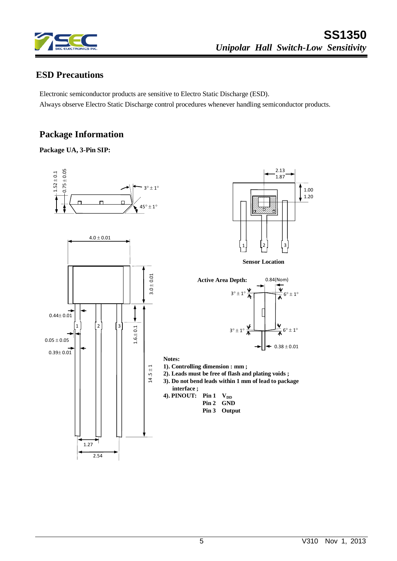

2.13 1.87

0.84(Nom)

 $0.38 \pm 0.01$ 

**Sensor Location**

1 2 3

1.00 1.20

## **ESD Precautions**

Electronic semiconductor products are sensitive to Electro Static Discharge (ESD). Always observe Electro Static Discharge control procedures whenever handling semiconductor products.

## **Package Information**







- **2). Leads must be free of flash and plating voids ;**
- **3). Do not bend leads within 1 mm of lead to package**